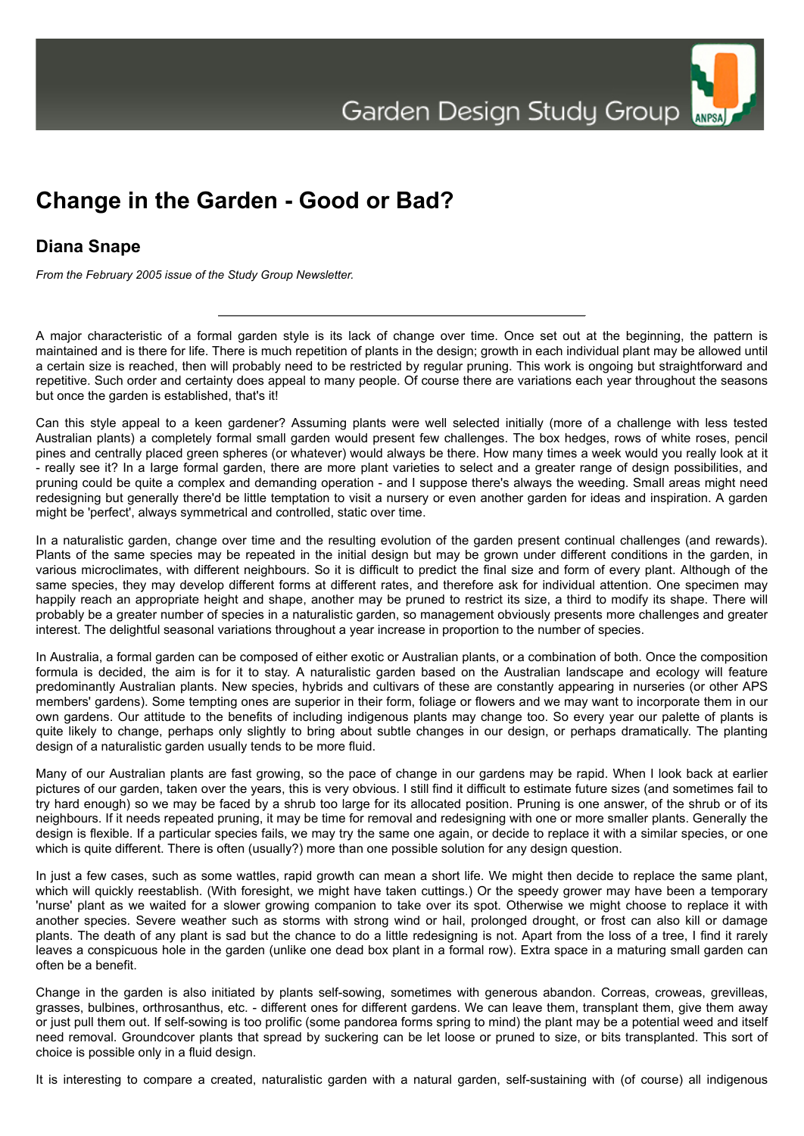Garden Design Study Group



## **Diana Snape**

*From the February 2005 issue of the Study Group Newsletter.*

A major characteristic of a formal garden style is its lack of change over time. Once set out at the beginning, the pattern is maintained and is there for life. There is much repetition of plants in the design; growth in each individual plant may be allowed until a certain size is reached, then will probably need to be restricted by regular pruning. This work is ongoing but straightforward and repetitive. Such order and certainty does appeal to many people. Of course there are variations each year throughout the seasons but once the garden is established, that's it!

Can this style appeal to a keen gardener? Assuming plants were well selected initially (more of a challenge with less tested Australian plants) a completely formal small garden would present few challenges. The box hedges, rows of white roses, pencil pines and centrally placed green spheres (or whatever) would always be there. How many times a week would you really look at it - really see it? In a Iarge formal garden, there are more plant varieties to select and a greater range of design possibilities, and pruning could be quite a complex and demanding operation - and I suppose there's always the weeding. Small areas might need redesigning but generally there'd be little temptation to visit a nursery or even another garden for ideas and inspiration. A garden might be 'perfect', always symmetrical and controlled, static over time.

In a naturalistic garden, change over time and the resulting evolution of the garden present continual challenges (and rewards). Plants of the same species may be repeated in the initial design but may be grown under different conditions in the garden, in various microclimates, with different neighbours. So it is difficult to predict the final size and form of every plant. Although of the same species, they may develop different forms at different rates, and therefore ask for individual attention. One specimen may happily reach an appropriate height and shape, another may be pruned to restrict its size, a third to modify its shape. There will probably be a greater number of species in a naturalistic garden, so management obviously presents more challenges and greater interest. The delightful seasonal variations throughout a year increase in proportion to the number of species.

In Australia, a formal garden can be composed of either exotic or Australian plants, or a combination of both. Once the composition formula is decided, the aim is for it to stay. A naturalistic garden based on the Australian landscape and ecology will feature predominantly Australian plants. New species, hybrids and cultivars of these are constantly appearing in nurseries (or other APS members' gardens). Some tempting ones are superior in their form, foliage or flowers and we may want to incorporate them in our own gardens. Our attitude to the benefits of including indigenous plants may change too. So every year our palette of plants is quite likely to change, perhaps only slightly to bring about subtle changes in our design, or perhaps dramatically. The planting design of a naturalistic garden usually tends to be more fluid.

Many of our Australian plants are fast growing, so the pace of change in our gardens may be rapid. When I look back at earlier pictures of our garden, taken over the years, this is very obvious. I still find it difficult to estimate future sizes (and sometimes fail to try hard enough) so we may be faced by a shrub too large for its allocated position. Pruning is one answer, of the shrub or of its neighbours. If it needs repeated pruning, it may be time for removal and redesigning with one or more smaller plants. Generally the design is flexible. If a particular species fails, we may try the same one again, or decide to replace it with a similar species, or one which is quite different. There is often (usually?) more than one possible solution for any design question.

In just a few cases, such as some wattles, rapid growth can mean a short life. We might then decide to replace the same plant, which will quickly reestablish. (With foresight, we might have taken cuttings.) Or the speedy grower may have been a temporary 'nurse' plant as we waited for a slower growing companion to take over its spot. Otherwise we might choose to replace it with another species. Severe weather such as storms with strong wind or hail, prolonged drought, or frost can also kill or damage plants. The death of any plant is sad but the chance to do a little redesigning is not. Apart from the loss of a tree, I find it rarely leaves a conspicuous hole in the garden (unlike one dead box plant in a formal row). Extra space in a maturing small garden can often be a benefit.

Change in the garden is also initiated by plants self-sowing, sometimes with generous abandon. Correas, croweas, grevilleas, grasses, bulbines, orthrosanthus, etc. - different ones for different gardens. We can leave them, transplant them, give them away or just pull them out. If self-sowing is too prolific (some pandorea forms spring to mind) the plant may be a potential weed and itself need removal. Groundcover plants that spread by suckering can be let loose or pruned to size, or bits transplanted. This sort of choice is possible only in a fluid design.

It is interesting to compare a created, naturalistic garden with a natural garden, self-sustaining with (of course) all indigenous